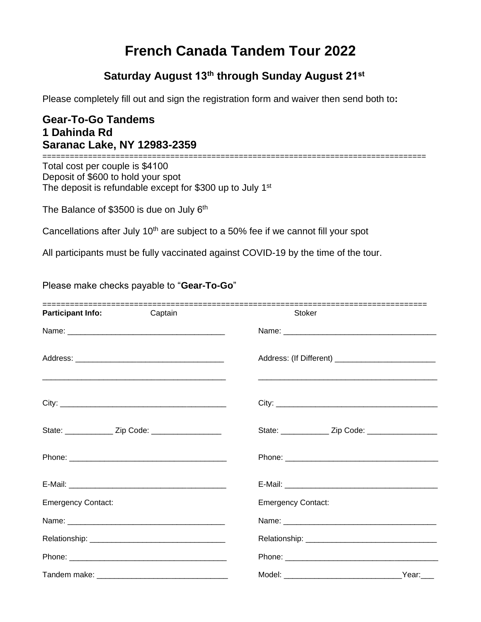# **French Canada Tandem Tour 2022**

## **Saturday August 13th through Sunday August 21st**

Please completely fill out and sign the registration form and waiver then send both to**:**

### **Gear-To-Go Tandems 1 Dahinda Rd Saranac Lake, NY 12983-2359**

====================================================================================

Total cost per couple is \$4100 Deposit of \$600 to hold your spot The deposit is refundable except for \$300 up to July 1<sup>st</sup>

The Balance of \$3500 is due on July 6<sup>th</sup>

Cancellations after July 10<sup>th</sup> are subject to a 50% fee if we cannot fill your spot

All participants must be fully vaccinated against COVID-19 by the time of the tour.

#### Please make checks payable to "**Gear-To-Go**"

| ------------------------------<br><b>Participant Info:</b> | Captain | Stoker                                                  |
|------------------------------------------------------------|---------|---------------------------------------------------------|
|                                                            |         |                                                         |
|                                                            |         |                                                         |
|                                                            |         |                                                         |
| State: ________________ Zip Code: ______________________   |         | State: _______________ Zip Code: ______________________ |
|                                                            |         |                                                         |
|                                                            |         |                                                         |
| <b>Emergency Contact:</b>                                  |         | <b>Emergency Contact:</b>                               |
|                                                            |         |                                                         |
|                                                            |         |                                                         |
|                                                            |         |                                                         |
|                                                            |         |                                                         |